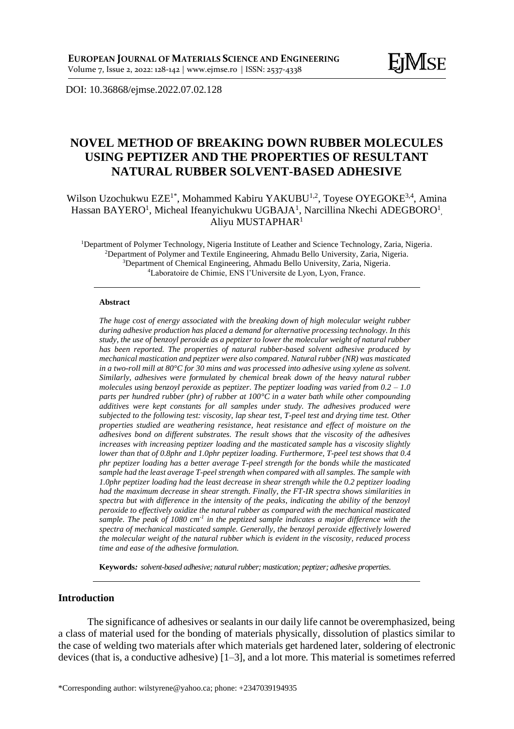DOI: [10.36868/ejmse.2022.07.02.1](http://ejmse.ro/articles/07_02_05_EJMSE-22-166.pdf)28

# **NOVEL METHOD OF BREAKING DOWN RUBBER MOLECULES USING PEPTIZER AND THE PROPERTIES OF RESULTANT NATURAL RUBBER SOLVENT-BASED ADHESIVE**

Wilson Uzochukwu EZE<sup>1\*</sup>, Mohammed Kabiru YAKUBU<sup>1,2</sup>, Toyese OYEGOKE<sup>3,4</sup>, Amina Hassan BAYERO<sup>1</sup>, Micheal Ifeanyichukwu UGBAJA<sup>1</sup>, Narcillina Nkechi ADEGBORO<sup>1</sup>, Aliyu MUSTAPHAR<sup>1</sup>

Department of Polymer Technology, Nigeria Institute of Leather and Science Technology, Zaria, Nigeria. Department of Polymer and Textile Engineering, Ahmadu Bello University, Zaria, Nigeria. Department of Chemical Engineering, Ahmadu Bello University, Zaria, Nigeria. Laboratoire de Chimie, ENS l'Universite de Lyon, Lyon, France.

#### **Abstract**

*The huge cost of energy associated with the breaking down of high molecular weight rubber during adhesive production has placed a demand for alternative processing technology. In this study, the use of benzoyl peroxide as a peptizer to lower the molecular weight of natural rubber has been reported. The properties of natural rubber-based solvent adhesive produced by mechanical mastication and peptizer were also compared. Natural rubber (NR) was masticated in a two-roll mill at 80°C for 30 mins and was processed into adhesive using xylene as solvent. Similarly, adhesives were formulated by chemical break down of the heavy natural rubber molecules using benzoyl peroxide as peptizer. The peptizer loading was varied from 0.2 – 1.0 parts per hundred rubber (phr) of rubber at 100°C in a water bath while other compounding additives were kept constants for all samples under study. The adhesives produced were subjected to the following test: viscosity, lap shear test, T-peel test and drying time test. Other properties studied are weathering resistance, heat resistance and effect of moisture on the adhesives bond on different substrates. The result shows that the viscosity of the adhesives increases with increasing peptizer loading and the masticated sample has a viscosity slightly lower than that of 0.8phr and 1.0phr peptizer loading. Furthermore, T-peel test shows that 0.4 phr peptizer loading has a better average T-peel strength for the bonds while the masticated sample had the least average T-peel strength when compared with all samples. The sample with 1.0phr peptizer loading had the least decrease in shear strength while the 0.2 peptizer loading had the maximum decrease in shear strength. Finally, the FT-IR spectra shows similarities in spectra but with difference in the intensity of the peaks, indicating the ability of the benzoyl peroxide to effectively oxidize the natural rubber as compared with the mechanical masticated sample. The peak of 1080 cm-1 in the peptized sample indicates a major difference with the spectra of mechanical masticated sample. Generally, the benzoyl peroxide effectively lowered the molecular weight of the natural rubber which is evident in the viscosity, reduced process time and ease of the adhesive formulation.*

**Keywords***: solvent-based adhesive; natural rubber; mastication; peptizer; adhesive properties.*

### **Introduction**

The significance of adhesives or sealants in our daily life cannot be overemphasized, being a class of material used for the bonding of materials physically, dissolution of plastics similar to the case of welding two materials after which materials get hardened later, soldering of electronic devices (that is, a conductive adhesive) [1–3], and a lot more. This material is sometimes referred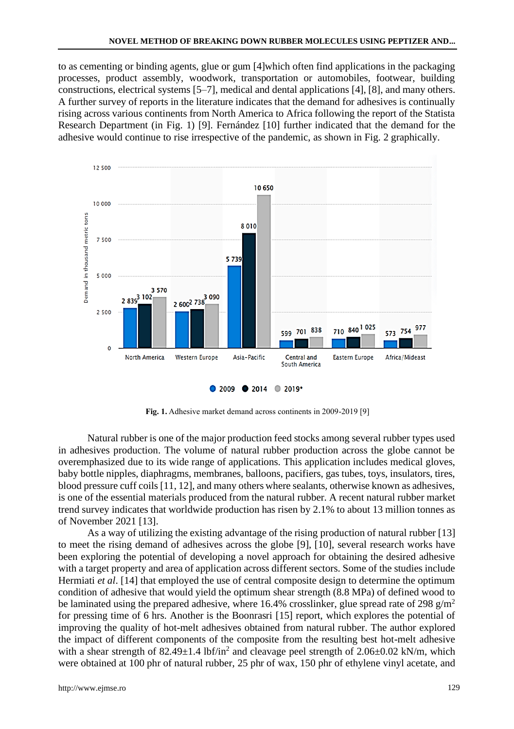to as cementing or binding agents, glue or gum [4]which often find applications in the packaging processes, product assembly, woodwork, transportation or automobiles, footwear, building constructions, electrical systems [5–7], medical and dental applications [4], [8], and many others. A further survey of reports in the literature indicates that the demand for adhesives is continually rising across various continents from North America to Africa following the report of the Statista Research Department (in Fig. 1) [9]. Fernández [10] further indicated that the demand for the adhesive would continue to rise irrespective of the pandemic, as shown in Fig. 2 graphically.



**Fig. 1.** Adhesive market demand across continents in 2009-2019 [9]

Natural rubber is one of the major production feed stocks among several rubber types used in adhesives production. The volume of natural rubber production across the globe cannot be overemphasized due to its wide range of applications. This application includes medical gloves, baby bottle nipples, diaphragms, membranes, balloons, pacifiers, gas tubes, toys, insulators, tires, blood pressure cuff coils [11, 12], and many others where sealants, otherwise known as adhesives, is one of the essential materials produced from the natural rubber. A recent natural rubber market trend survey indicates that worldwide production has risen by 2.1% to about 13 million tonnes as of November 2021 [13].

As a way of utilizing the existing advantage of the rising production of natural rubber [13] to meet the rising demand of adhesives across the globe [9], [10], several research works have been exploring the potential of developing a novel approach for obtaining the desired adhesive with a target property and area of application across different sectors. Some of the studies include Hermiati *et al*. [14] that employed the use of central composite design to determine the optimum condition of adhesive that would yield the optimum shear strength (8.8 MPa) of defined wood to be laminated using the prepared adhesive, where 16.4% crosslinker, glue spread rate of 298 g/m<sup>2</sup> for pressing time of 6 hrs. Another is the Boonrasri [15] report, which explores the potential of improving the quality of hot-melt adhesives obtained from natural rubber. The author explored the impact of different components of the composite from the resulting best hot-melt adhesive with a shear strength of  $82.49 \pm 1.4$  lbf/in<sup>2</sup> and cleavage peel strength of  $2.06 \pm 0.02$  kN/m, which were obtained at 100 phr of natural rubber, 25 phr of wax, 150 phr of ethylene vinyl acetate, and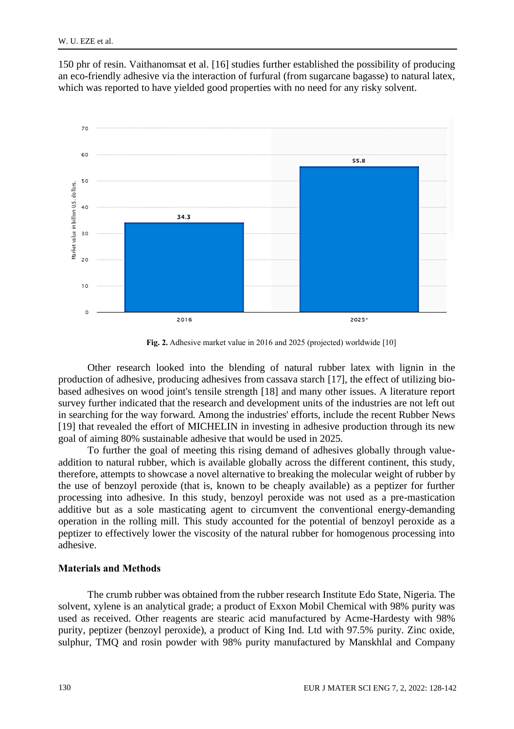150 phr of resin. Vaithanomsat et al. [16] studies further established the possibility of producing an eco-friendly adhesive via the interaction of furfural (from sugarcane bagasse) to natural latex, which was reported to have yielded good properties with no need for any risky solvent.



**Fig. 2.** Adhesive market value in 2016 and 2025 (projected) worldwide [10]

Other research looked into the blending of natural rubber latex with lignin in the production of adhesive, producing adhesives from cassava starch [17], the effect of utilizing biobased adhesives on wood joint's tensile strength [18] and many other issues. A literature report survey further indicated that the research and development units of the industries are not left out in searching for the way forward. Among the industries' efforts, include the recent Rubber News [19] that revealed the effort of MICHELIN in investing in adhesive production through its new goal of aiming 80% sustainable adhesive that would be used in 2025.

To further the goal of meeting this rising demand of adhesives globally through valueaddition to natural rubber, which is available globally across the different continent, this study, therefore, attempts to showcase a novel alternative to breaking the molecular weight of rubber by the use of benzoyl peroxide (that is, known to be cheaply available) as a peptizer for further processing into adhesive. In this study, benzoyl peroxide was not used as a pre-mastication additive but as a sole masticating agent to circumvent the conventional energy-demanding operation in the rolling mill. This study accounted for the potential of benzoyl peroxide as a peptizer to effectively lower the viscosity of the natural rubber for homogenous processing into adhesive.

#### **Materials and Methods**

The crumb rubber was obtained from the rubber research Institute Edo State, Nigeria. The solvent, xylene is an analytical grade; a product of Exxon Mobil Chemical with 98% purity was used as received. Other reagents are stearic acid manufactured by Acme-Hardesty with 98% purity, peptizer (benzoyl peroxide), a product of King Ind. Ltd with 97.5% purity. Zinc oxide, sulphur, TMQ and rosin powder with 98% purity manufactured by Manskhlal and Company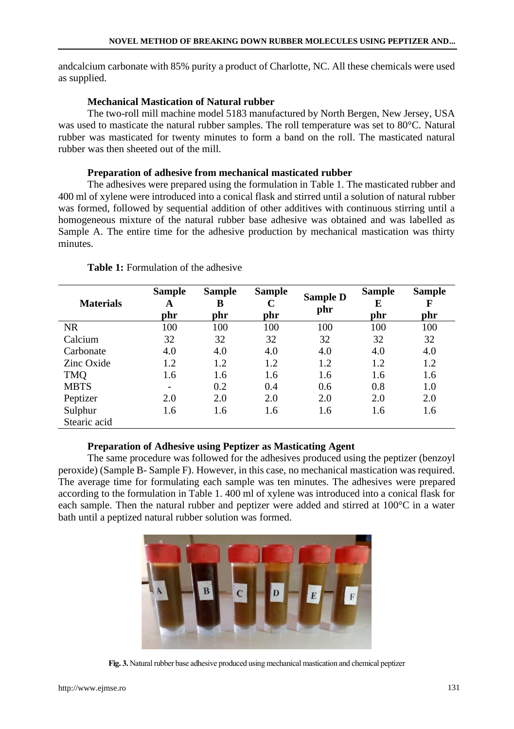andcalcium carbonate with 85% purity a product of Charlotte, NC. All these chemicals were used as supplied.

## **Mechanical Mastication of Natural rubber**

The two-roll mill machine model 5183 manufactured by North Bergen, New Jersey, USA was used to masticate the natural rubber samples. The roll temperature was set to 80°C. Natural rubber was masticated for twenty minutes to form a band on the roll. The masticated natural rubber was then sheeted out of the mill.

### **Preparation of adhesive from mechanical masticated rubber**

The adhesives were prepared using the formulation in Table 1. The masticated rubber and 400 ml of xylene were introduced into a conical flask and stirred until a solution of natural rubber was formed, followed by sequential addition of other additives with continuous stirring until a homogeneous mixture of the natural rubber base adhesive was obtained and was labelled as Sample A. The entire time for the adhesive production by mechanical mastication was thirty minutes.

| <b>Materials</b> | <b>Sample</b><br>A | <b>Sample</b><br>B | <b>Sample</b><br>$\mathbf C$ | <b>Sample D</b><br>phr | <b>Sample</b><br>E | <b>Sample</b><br>F |
|------------------|--------------------|--------------------|------------------------------|------------------------|--------------------|--------------------|
|                  | phr                | phr                | phr                          |                        | phr                | phr                |
| <b>NR</b>        | 100                | 100                | 100                          | 100                    | 100                | 100                |
| Calcium          | 32                 | 32                 | 32                           | 32                     | 32                 | 32                 |
| Carbonate        | 4.0                | 4.0                | 4.0                          | 4.0                    | 4.0                | 4.0                |
| Zinc Oxide       | 1.2                | 1.2                | 1.2                          | 1.2                    | 1.2                | 1.2                |
| <b>TMQ</b>       | 1.6                | 1.6                | 1.6                          | 1.6                    | 1.6                | 1.6                |
| <b>MBTS</b>      |                    | 0.2                | 0.4                          | 0.6                    | 0.8                | 1.0                |
| Peptizer         | 2.0                | 2.0                | 2.0                          | 2.0                    | 2.0                | 2.0                |
| Sulphur          | 1.6                | 1.6                | 1.6                          | 1.6                    | 1.6                | 1.6                |
| Stearic acid     |                    |                    |                              |                        |                    |                    |

### **Table 1:** Formulation of the adhesive

### **Preparation of Adhesive using Peptizer as Masticating Agent**

The same procedure was followed for the adhesives produced using the peptizer (benzoyl peroxide) (Sample B-Sample F). However, in this case, no mechanical mastication was required. The average time for formulating each sample was ten minutes. The adhesives were prepared according to the formulation in Table 1. 400 ml of xylene was introduced into a conical flask for each sample. Then the natural rubber and peptizer were added and stirred at 100°C in a water bath until a peptized natural rubber solution was formed.



**Fig. 3.** Natural rubber base adhesive produced using mechanical mastication and chemical peptizer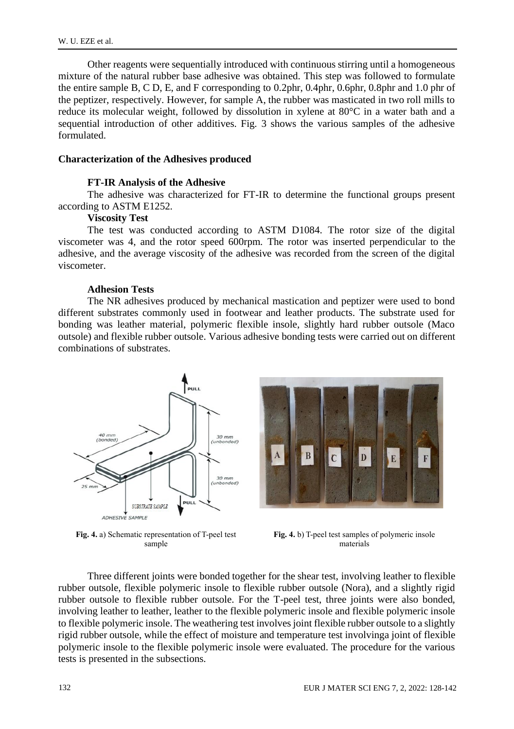Other reagents were sequentially introduced with continuous stirring until a homogeneous mixture of the natural rubber base adhesive was obtained. This step was followed to formulate the entire sample B, C D, E, and F corresponding to 0.2phr, 0.4phr, 0.6phr, 0.8phr and 1.0 phr of the peptizer, respectively. However, for sample A, the rubber was masticated in two roll mills to reduce its molecular weight, followed by dissolution in xylene at 80°C in a water bath and a sequential introduction of other additives. Fig. 3 shows the various samples of the adhesive formulated.

#### **Characterization of the Adhesives produced**

#### **FT-IR Analysis of the Adhesive**

The adhesive was characterized for FT-IR to determine the functional groups present according to ASTM E1252.

#### **Viscosity Test**

The test was conducted according to ASTM D1084. The rotor size of the digital viscometer was 4, and the rotor speed 600rpm. The rotor was inserted perpendicular to the adhesive, and the average viscosity of the adhesive was recorded from the screen of the digital viscometer.

#### **Adhesion Tests**

The NR adhesives produced by mechanical mastication and peptizer were used to bond different substrates commonly used in footwear and leather products. The substrate used for bonding was leather material, polymeric flexible insole, slightly hard rubber outsole (Maco outsole) and flexible rubber outsole. Various adhesive bonding tests were carried out on different combinations of substrates.



**Fig. 4.** a) Schematic representation of T-peel test sample



**Fig. 4.** b) T-peel test samples of polymeric insole materials

Three different joints were bonded together for the shear test, involving leather to flexible rubber outsole, flexible polymeric insole to flexible rubber outsole (Nora), and a slightly rigid rubber outsole to flexible rubber outsole. For the T-peel test, three joints were also bonded, involving leather to leather, leather to the flexible polymeric insole and flexible polymeric insole to flexible polymeric insole. The weathering test involves joint flexible rubber outsole to a slightly rigid rubber outsole, while the effect of moisture and temperature test involvinga joint of flexible polymeric insole to the flexible polymeric insole were evaluated. The procedure for the various tests is presented in the subsections.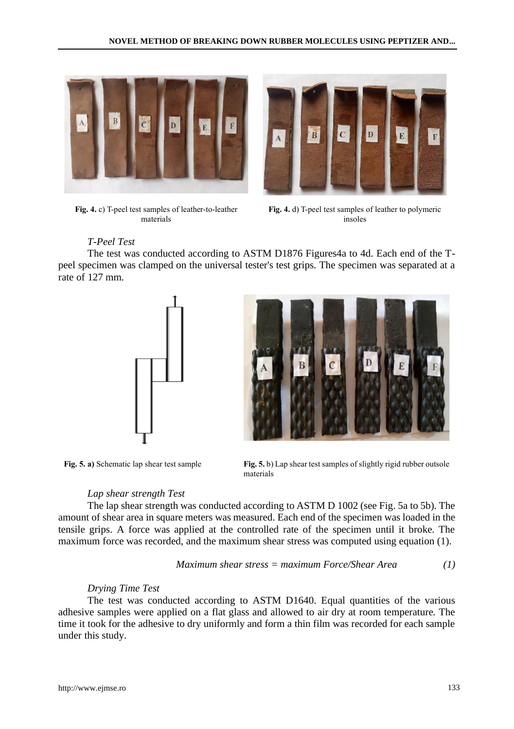$\overline{\mathbf{B}}$ 



**Fig. 4.** c) T-peel test samples of leather-to-leather materials



 $\mathbf C$ 

 $\overline{D}$ 

 $E$ 

## *T-Peel Test*

The test was conducted according to ASTM D1876 Figures4a to 4d. Each end of the Tpeel specimen was clamped on the universal tester's test grips. The specimen was separated at a rate of 127 mm.





**Fig. 5. a)** Schematic lap shear test sample **Fig. 5.** b) Lap shear test samples of slightly rigid rubber outsole materials

### *Lap shear strength Test*

The lap shear strength was conducted according to ASTM D 1002 (see Fig. 5a to 5b). The amount of shear area in square meters was measured. Each end of the specimen was loaded in the tensile grips. A force was applied at the controlled rate of the specimen until it broke. The maximum force was recorded, and the maximum shear stress was computed using equation (1).

Maximum shear stress = maximum Force/Shear Area 
$$
(1)
$$

### *Drying Time Test*

The test was conducted according to ASTM D1640. Equal quantities of the various adhesive samples were applied on a flat glass and allowed to air dry at room temperature. The time it took for the adhesive to dry uniformly and form a thin film was recorded for each sample under this study.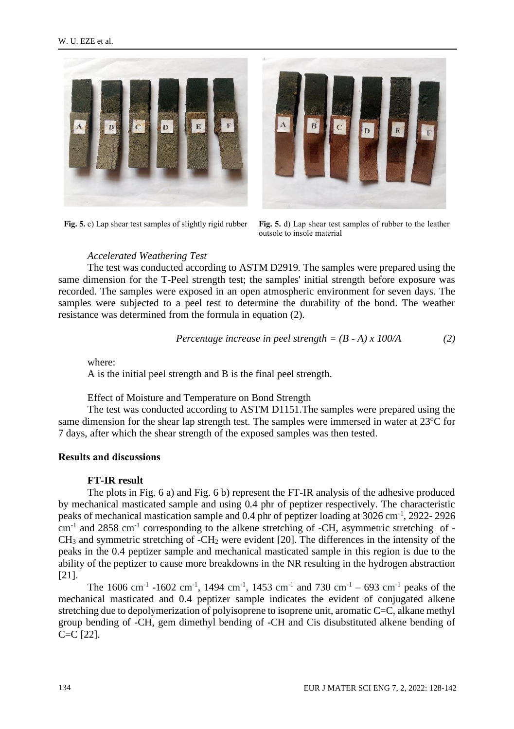



**Fig. 5.** c) Lap shear test samples of slightly rigid rubber **Fig. 5.** d) Lap shear test samples of rubber to the leather outsole to insole material

### *Accelerated Weathering Test*

The test was conducted according to ASTM D2919. The samples were prepared using the same dimension for the T-Peel strength test; the samples' initial strength before exposure was recorded. The samples were exposed in an open atmospheric environment for seven days. The samples were subjected to a peel test to determine the durability of the bond. The weather resistance was determined from the formula in equation (2).

Percentage increase in peel strength = 
$$
(B - A) \times 100/A
$$
 (2)

where:

A is the initial peel strength and B is the final peel strength.

#### Effect of Moisture and Temperature on Bond Strength

The test was conducted according to ASTM D1151.The samples were prepared using the same dimension for the shear lap strength test. The samples were immersed in water at  $23^{\circ}$ C for 7 days, after which the shear strength of the exposed samples was then tested.

#### **Results and discussions**

#### **FT-IR result**

The plots in Fig. 6 a) and Fig. 6 b) represent the FT-IR analysis of the adhesive produced by mechanical masticated sample and using 0.4 phr of peptizer respectively. The characteristic peaks of mechanical mastication sample and 0.4 phr of peptizer loading at 3026 cm<sup>-1</sup>, 2922-2926 cm<sup>-1</sup> and 2858 cm<sup>-1</sup> corresponding to the alkene stretching of -CH, asymmetric stretching of - $CH<sub>3</sub>$  and symmetric stretching of -CH<sub>2</sub> were evident [20]. The differences in the intensity of the peaks in the 0.4 peptizer sample and mechanical masticated sample in this region is due to the ability of the peptizer to cause more breakdowns in the NR resulting in the hydrogen abstraction [21].

The 1606 cm<sup>-1</sup> -1602 cm<sup>-1</sup>, 1494 cm<sup>-1</sup>, 1453 cm<sup>-1</sup> and 730 cm<sup>-1</sup> – 693 cm<sup>-1</sup> peaks of the mechanical masticated and 0.4 peptizer sample indicates the evident of conjugated alkene stretching due to depolymerization of polyisoprene to isoprene unit, aromatic C=C, alkane methyl group bending of -CH, gem dimethyl bending of -CH and Cis disubstituted alkene bending of C=C [22].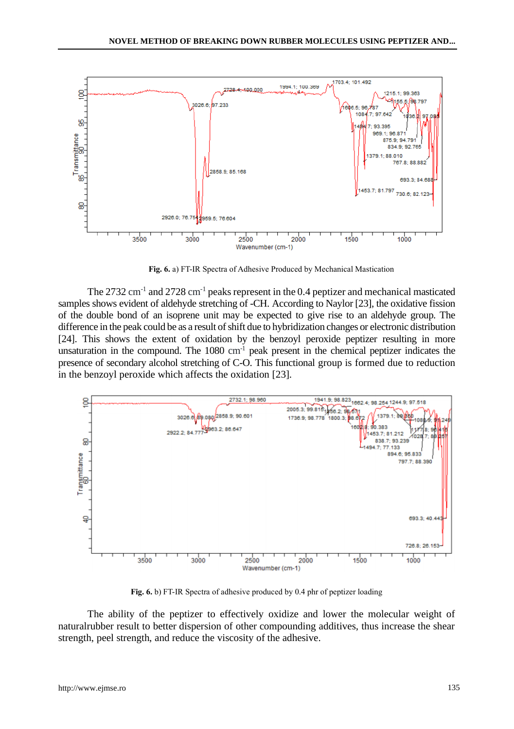

**Fig. 6.** a) FT-IR Spectra of Adhesive Produced by Mechanical Mastication

The 2732 cm<sup>-1</sup> and 2728 cm<sup>-1</sup> peaks represent in the 0.4 peptizer and mechanical masticated samples shows evident of aldehyde stretching of -CH. According to Naylor [23], the oxidative fission of the double bond of an isoprene unit may be expected to give rise to an aldehyde group. The difference in the peak could be as a result of shift due to hybridization changes or electronic distribution [24]. This shows the extent of oxidation by the benzoyl peroxide peptizer resulting in more unsaturation in the compound. The  $1080 \text{ cm}^{-1}$  peak present in the chemical peptizer indicates the presence of secondary alcohol stretching of C-O. This functional group is formed due to reduction in the benzoyl peroxide which affects the oxidation [23].



**Fig. 6.** b) FT-IR Spectra of adhesive produced by 0.4 phr of peptizer loading

The ability of the peptizer to effectively oxidize and lower the molecular weight of naturalrubber result to better dispersion of other compounding additives, thus increase the shear strength, peel strength, and reduce the viscosity of the adhesive.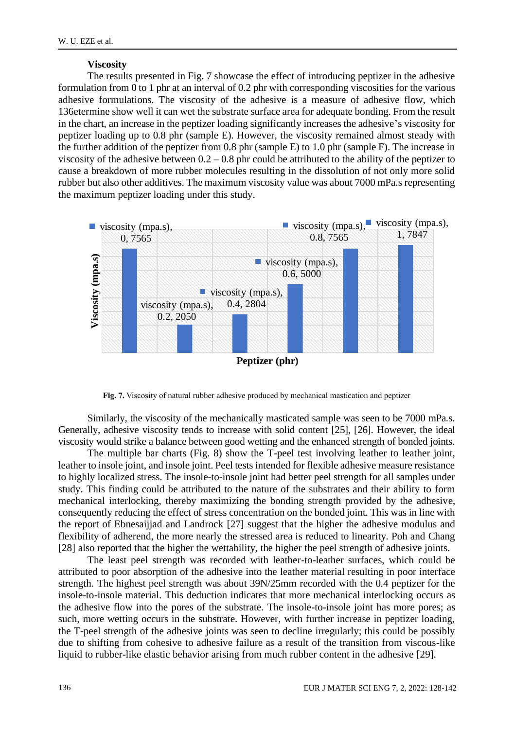#### **Viscosity**

The results presented in Fig. 7 showcase the effect of introducing peptizer in the adhesive formulation from 0 to 1 phr at an interval of 0.2 phr with corresponding viscosities for the various adhesive formulations. The viscosity of the adhesive is a measure of adhesive flow, which 136etermine show well it can wet the substrate surface area for adequate bonding. From the result in the chart, an increase in the peptizer loading significantly increases the adhesive's viscosity for peptizer loading up to 0.8 phr (sample E). However, the viscosity remained almost steady with the further addition of the peptizer from 0.8 phr (sample E) to 1.0 phr (sample F). The increase in viscosity of the adhesive between  $0.2 - 0.8$  phr could be attributed to the ability of the peptizer to cause a breakdown of more rubber molecules resulting in the dissolution of not only more solid rubber but also other additives. The maximum viscosity value was about 7000 mPa.s representing the maximum peptizer loading under this study.



**Fig. 7.** Viscosity of natural rubber adhesive produced by mechanical mastication and peptizer

Similarly, the viscosity of the mechanically masticated sample was seen to be 7000 mPa.s. Generally, adhesive viscosity tends to increase with solid content [25], [26]. However, the ideal viscosity would strike a balance between good wetting and the enhanced strength of bonded joints.

The multiple bar charts (Fig. 8) show the T-peel test involving leather to leather joint, leather to insole joint, and insole joint. Peel tests intended for flexible adhesive measure resistance to highly localized stress. The insole-to-insole joint had better peel strength for all samples under study. This finding could be attributed to the nature of the substrates and their ability to form mechanical interlocking, thereby maximizing the bonding strength provided by the adhesive, consequently reducing the effect of stress concentration on the bonded joint. This was in line with the report of Ebnesaijjad and Landrock [27] suggest that the higher the adhesive modulus and flexibility of adherend, the more nearly the stressed area is reduced to linearity. Poh and Chang [28] also reported that the higher the wettability, the higher the peel strength of adhesive joints.

The least peel strength was recorded with leather-to-leather surfaces, which could be attributed to poor absorption of the adhesive into the leather material resulting in poor interface strength. The highest peel strength was about 39N/25mm recorded with the 0.4 peptizer for the insole-to-insole material. This deduction indicates that more mechanical interlocking occurs as the adhesive flow into the pores of the substrate. The insole-to-insole joint has more pores; as such, more wetting occurs in the substrate. However, with further increase in peptizer loading, the T-peel strength of the adhesive joints was seen to decline irregularly; this could be possibly due to shifting from cohesive to adhesive failure as a result of the transition from viscous-like liquid to rubber-like elastic behavior arising from much rubber content in the adhesive [29].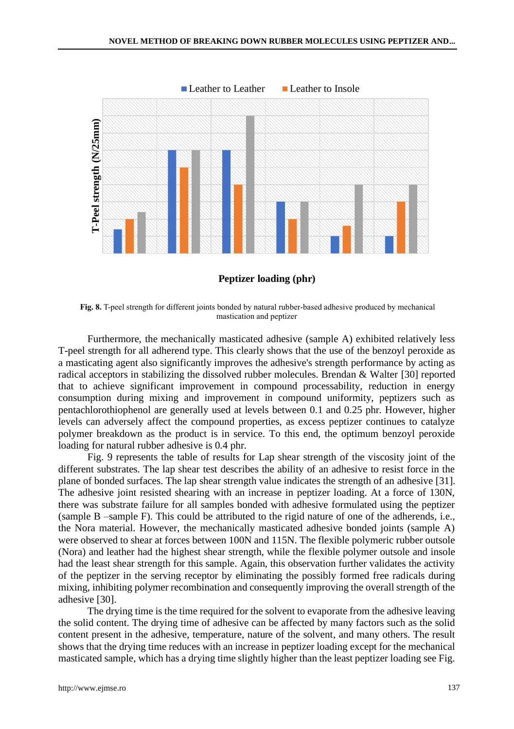

**Peptizer loading (phr)**

**Fig. 8.** T-peel strength for different joints bonded by natural rubber-based adhesive produced by mechanical mastication and peptizer

Furthermore, the mechanically masticated adhesive (sample A) exhibited relatively less T-peel strength for all adherend type. This clearly shows that the use of the benzoyl peroxide as a masticating agent also significantly improves the adhesive's strength performance by acting as radical acceptors in stabilizing the dissolved rubber molecules. Brendan & Walter [30] reported that to achieve significant improvement in compound processability, reduction in energy consumption during mixing and improvement in compound uniformity, peptizers such as pentachlorothiophenol are generally used at levels between 0.1 and 0.25 phr. However, higher levels can adversely affect the compound properties, as excess peptizer continues to catalyze polymer breakdown as the product is in service. To this end, the optimum benzoyl peroxide loading for natural rubber adhesive is 0.4 phr.

Fig. 9 represents the table of results for Lap shear strength of the viscosity joint of the different substrates. The lap shear test describes the ability of an adhesive to resist force in the plane of bonded surfaces. The lap shear strength value indicates the strength of an adhesive [31]. The adhesive joint resisted shearing with an increase in peptizer loading. At a force of 130N, there was substrate failure for all samples bonded with adhesive formulated using the peptizer (sample B –sample F). This could be attributed to the rigid nature of one of the adherends, i.e., the Nora material. However, the mechanically masticated adhesive bonded joints (sample A) were observed to shear at forces between 100N and 115N. The flexible polymeric rubber outsole (Nora) and leather had the highest shear strength, while the flexible polymer outsole and insole had the least shear strength for this sample. Again, this observation further validates the activity of the peptizer in the serving receptor by eliminating the possibly formed free radicals during mixing, inhibiting polymer recombination and consequently improving the overall strength of the adhesive [30].

The drying time is the time required for the solvent to evaporate from the adhesive leaving the solid content. The drying time of adhesive can be affected by many factors such as the solid content present in the adhesive, temperature, nature of the solvent, and many others. The result shows that the drying time reduces with an increase in peptizer loading except for the mechanical masticated sample, which has a drying time slightly higher than the least peptizer loading see Fig.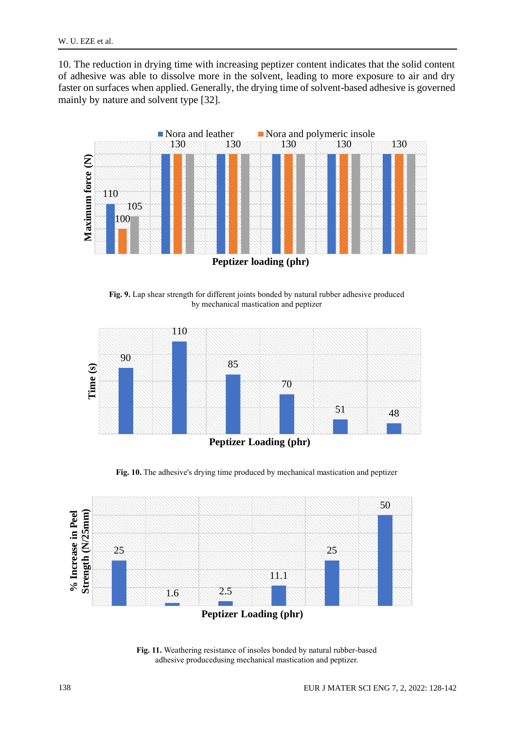10. The reduction in drying time with increasing peptizer content indicates that the solid content of adhesive was able to dissolve more in the solvent, leading to more exposure to air and dry faster on surfaces when applied. Generally, the drying time of solvent-based adhesive is governed mainly by nature and solvent type [32].



**Fig. 9.** Lap shear strength for different joints bonded by natural rubber adhesive produced by mechanical mastication and peptizer



**Peptizer Loading (phr)**

**Fig. 10.** The adhesive's drying time produced by mechanical mastication and peptizer



**Fig. 11.** Weathering resistance of insoles bonded by natural rubber-based adhesive producedusing mechanical mastication and peptizer.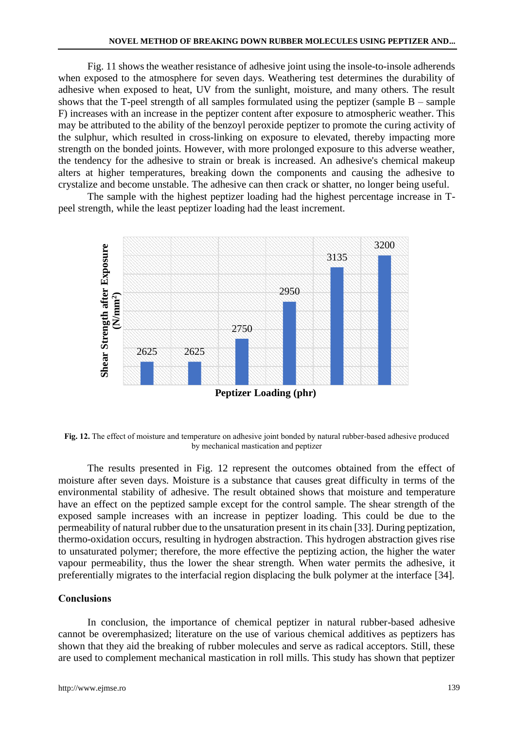Fig. 11 shows the weather resistance of adhesive joint using the insole-to-insole adherends when exposed to the atmosphere for seven days. Weathering test determines the durability of adhesive when exposed to heat, UV from the sunlight, moisture, and many others. The result shows that the T-peel strength of all samples formulated using the peptizer (sample  $B -$ sample F) increases with an increase in the peptizer content after exposure to atmospheric weather. This may be attributed to the ability of the benzoyl peroxide peptizer to promote the curing activity of the sulphur, which resulted in cross-linking on exposure to elevated, thereby impacting more strength on the bonded joints. However, with more prolonged exposure to this adverse weather, the tendency for the adhesive to strain or break is increased. An adhesive's chemical makeup alters at higher temperatures, breaking down the components and causing the adhesive to crystalize and become unstable. The adhesive can then crack or shatter, no longer being useful.

The sample with the highest peptizer loading had the highest percentage increase in Tpeel strength, while the least peptizer loading had the least increment.



**Fig. 12.** The effect of moisture and temperature on adhesive joint bonded by natural rubber-based adhesive produced by mechanical mastication and peptizer

The results presented in Fig. 12 represent the outcomes obtained from the effect of moisture after seven days. Moisture is a substance that causes great difficulty in terms of the environmental stability of adhesive. The result obtained shows that moisture and temperature have an effect on the peptized sample except for the control sample. The shear strength of the exposed sample increases with an increase in peptizer loading. This could be due to the permeability of natural rubber due to the unsaturation present in its chain [33]. During peptization, thermo-oxidation occurs, resulting in hydrogen abstraction. This hydrogen abstraction gives rise to unsaturated polymer; therefore, the more effective the peptizing action, the higher the water vapour permeability, thus the lower the shear strength. When water permits the adhesive, it preferentially migrates to the interfacial region displacing the bulk polymer at the interface [34].

### **Conclusions**

In conclusion, the importance of chemical peptizer in natural rubber-based adhesive cannot be overemphasized; literature on the use of various chemical additives as peptizers has shown that they aid the breaking of rubber molecules and serve as radical acceptors. Still, these are used to complement mechanical mastication in roll mills. This study has shown that peptizer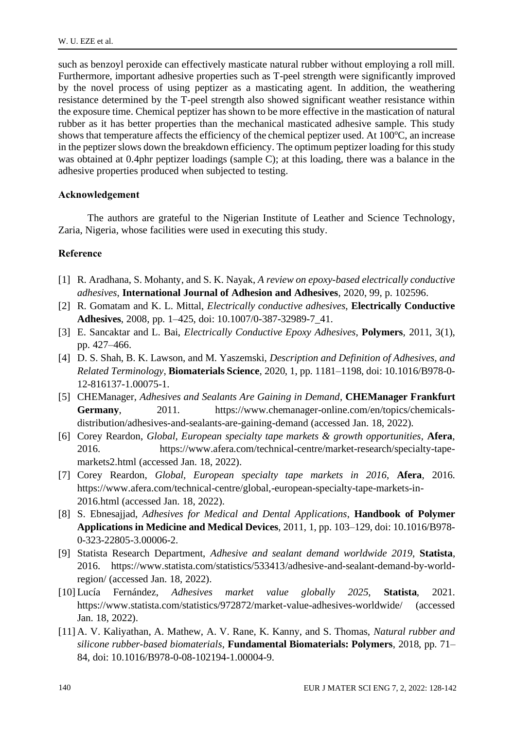such as benzoyl peroxide can effectively masticate natural rubber without employing a roll mill. Furthermore, important adhesive properties such as T-peel strength were significantly improved by the novel process of using peptizer as a masticating agent. In addition, the weathering resistance determined by the T-peel strength also showed significant weather resistance within the exposure time. Chemical peptizer has shown to be more effective in the mastication of natural rubber as it has better properties than the mechanical masticated adhesive sample. This study shows that temperature affects the efficiency of the chemical peptizer used. At  $100^{\circ}$ C, an increase in the peptizer slows down the breakdown efficiency. The optimum peptizer loading for this study was obtained at 0.4phr peptizer loadings (sample C); at this loading, there was a balance in the adhesive properties produced when subjected to testing.

### **Acknowledgement**

The authors are grateful to the Nigerian Institute of Leather and Science Technology, Zaria, Nigeria, whose facilities were used in executing this study.

### **Reference**

- [1] R. Aradhana, S. Mohanty, and S. K. Nayak, *A review on epoxy-based electrically conductive adhesives*, **International Journal of Adhesion and Adhesives**, 2020, 99, p. 102596.
- [2] R. Gomatam and K. L. Mittal, *Electrically conductive adhesives*, **Electrically Conductive Adhesives**, 2008, pp. 1–425, doi: 10.1007/0-387-32989-7\_41.
- [3] E. Sancaktar and L. Bai, *Electrically Conductive Epoxy Adhesives*, **Polymers**, 2011, 3(1), pp. 427–466.
- [4] D. S. Shah, B. K. Lawson, and M. Yaszemski, *Description and Definition of Adhesives, and Related Terminology*, **Biomaterials Science**, 2020, 1, pp. 1181–1198, doi: 10.1016/B978-0- 12-816137-1.00075-1.
- [5] CHEManager, *Adhesives and Sealants Are Gaining in Demand*, **CHEManager Frankfurt** Germany, 2011. https://www.chemanager-online.com/en/topics/chemicalsdistribution/adhesives-and-sealants-are-gaining-demand (accessed Jan. 18, 2022).
- [6] Corey Reardon, *Global, European specialty tape markets & growth opportunities*, **Afera**, 2016. https://www.afera.com/technical-centre/market-research/specialty-tapemarkets2.html (accessed Jan. 18, 2022).
- [7] Corey Reardon, *Global, European specialty tape markets in 2016*, **Afera**, 2016. https://www.afera.com/technical-centre/global,-european-specialty-tape-markets-in-2016.html (accessed Jan. 18, 2022).
- [8] S. Ebnesajjad, *Adhesives for Medical and Dental Applications*, **Handbook of Polymer Applications in Medicine and Medical Devices**, 2011, 1, pp. 103–129, doi: 10.1016/B978- 0-323-22805-3.00006-2.
- [9] Statista Research Department, *Adhesive and sealant demand worldwide 2019*, **Statista**, 2016. https://www.statista.com/statistics/533413/adhesive-and-sealant-demand-by-worldregion/ (accessed Jan. 18, 2022).
- [10] Lucía Fernández, *Adhesives market value globally 2025*, **Statista**, 2021. https://www.statista.com/statistics/972872/market-value-adhesives-worldwide/ (accessed Jan. 18, 2022).
- [11] A. V. Kaliyathan, A. Mathew, A. V. Rane, K. Kanny, and S. Thomas, *Natural rubber and silicone rubber-based biomaterials*, **Fundamental Biomaterials: Polymers**, 2018, pp. 71– 84, doi: 10.1016/B978-0-08-102194-1.00004-9.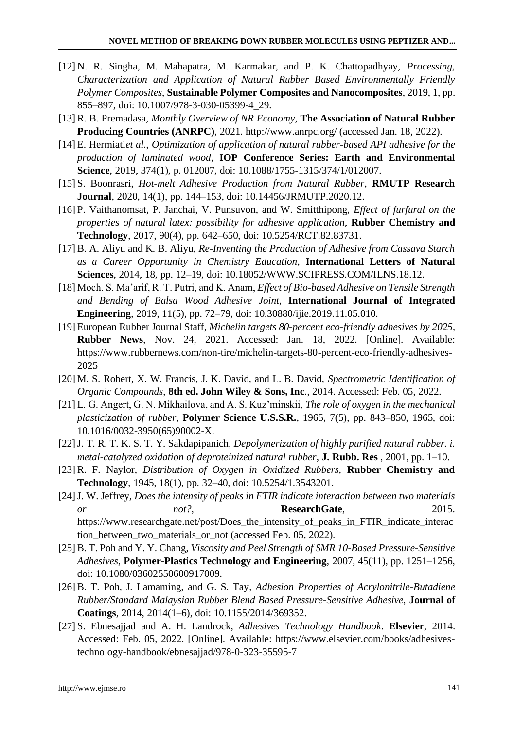- [12] N. R. Singha, M. Mahapatra, M. Karmakar, and P. K. Chattopadhyay, *Processing, Characterization and Application of Natural Rubber Based Environmentally Friendly Polymer Composites*, **Sustainable Polymer Composites and Nanocomposites**, 2019, 1, pp. 855–897, doi: 10.1007/978-3-030-05399-4\_29.
- [13] R. B. Premadasa, *Monthly Overview of NR Economy*, **The Association of Natural Rubber Producing Countries (ANRPC)**, 2021. http://www.anrpc.org/ (accessed Jan. 18, 2022).
- [14] E. Hermiati*et al.*, *Optimization of application of natural rubber-based API adhesive for the production of laminated wood*, **IOP Conference Series: Earth and Environmental Science**, 2019, 374(1), p. 012007, doi: 10.1088/1755-1315/374/1/012007.
- [15]S. Boonrasri, *Hot-melt Adhesive Production from Natural Rubber*, **RMUTP Research Journal**, 2020, 14(1), pp. 144–153, doi: 10.14456/JRMUTP.2020.12.
- [16]P. Vaithanomsat, P. Janchai, V. Punsuvon, and W. Smitthipong, *Effect of furfural on the properties of natural latex: possibility for adhesive application*, **Rubber Chemistry and Technology**, 2017, 90(4), pp. 642–650, doi: 10.5254/RCT.82.83731.
- [17] B. A. Aliyu and K. B. Aliyu, *Re-Inventing the Production of Adhesive from Cassava Starch as a Career Opportunity in Chemistry Education*, **International Letters of Natural Sciences**, 2014, 18, pp. 12–19, doi: 10.18052/WWW.SCIPRESS.COM/ILNS.18.12.
- [18] Moch. S. Ma'arif, R. T. Putri, and K. Anam, *Effect of Bio-based Adhesive on Tensile Strength and Bending of Balsa Wood Adhesive Joint*, **International Journal of Integrated Engineering**, 2019, 11(5), pp. 72–79, doi: 10.30880/ijie.2019.11.05.010.
- [19] European Rubber Journal Staff, *Michelin targets 80-percent eco-friendly adhesives by 2025*, **Rubber News**, Nov. 24, 2021. Accessed: Jan. 18, 2022. [Online]. Available: https://www.rubbernews.com/non-tire/michelin-targets-80-percent-eco-friendly-adhesives-2025
- [20] M. S. Robert, X. W. Francis, J. K. David, and L. B. David, *Spectrometric Identification of Organic Compounds*, **8th ed. John Wiley & Sons, Inc**., 2014. Accessed: Feb. 05, 2022.
- [21] L. G. Angert, G. N. Mikhailova, and A. S. Kuz'minskii, *The role of oxygen in the mechanical plasticization of rubber*, **Polymer Science U.S.S.R.**, 1965, 7(5), pp. 843–850, 1965, doi: 10.1016/0032-3950(65)90002-X.
- [22]J. T. R. T. K. S. T. Y. Sakdapipanich, *Depolymerization of highly purified natural rubber. i. metal-catalyzed oxidation of deproteinized natural rubber*, **J. Rubb. Res** , 2001, pp. 1–10.
- [23] R. F. Naylor, *Distribution of Oxygen in Oxidized Rubbers,* **Rubber Chemistry and Technology**, 1945, 18(1), pp. 32–40, doi: 10.5254/1.3543201.
- [24]J. W. Jeffrey, *Does the intensity of peaks in FTIR indicate interaction between two materials or not?,* **ResearchGate**, 2015. https://www.researchgate.net/post/Does the intensity of peaks in FTIR indicate interac tion\_between\_two\_materials\_or\_not (accessed Feb. 05, 2022).
- [25] B. T. Poh and Y. Y. Chang, *Viscosity and Peel Strength of SMR 10-Based Pressure-Sensitive Adhesives*, **Polymer-Plastics Technology and Engineering**, 2007, 45(11), pp. 1251–1256, doi: 10.1080/03602550600917009.
- [26] B. T. Poh, J. Lamaming, and G. S. Tay*, Adhesion Properties of Acrylonitrile-Butadiene Rubber/Standard Malaysian Rubber Blend Based Pressure-Sensitive Adhesive*, **Journal of Coatings**, 2014, 2014(1–6), doi: 10.1155/2014/369352.
- [27]S. Ebnesajjad and A. H. Landrock, *Adhesives Technology Handbook*. **Elsevier**, 2014. Accessed: Feb. 05, 2022. [Online]. Available: https://www.elsevier.com/books/adhesivestechnology-handbook/ebnesajjad/978-0-323-35595-7